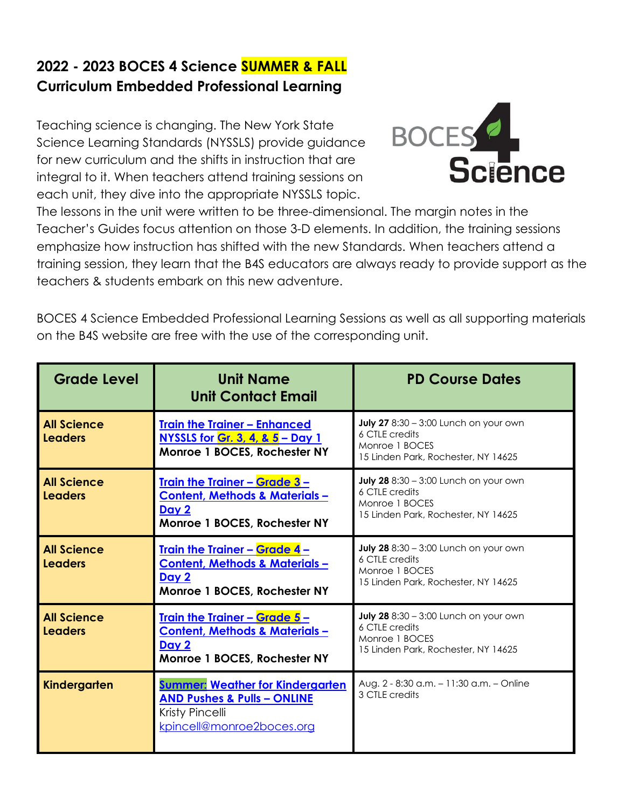## **2022 - 2023 BOCES 4 Science SUMMER & FALL Curriculum Embedded Professional Learning**

Teaching science is changing. The New York State Science Learning Standards (NYSSLS) provide guidance for new curriculum and the shifts in instruction that are integral to it. When teachers attend training sessions on each unit, they dive into the appropriate NYSSLS topic.



The lessons in the unit were written to be three-dimensional. The margin notes in the Teacher's Guides focus attention on those 3-D elements. In addition, the training sessions emphasize how instruction has shifted with the new Standards. When teachers attend a training session, they learn that the B4S educators are always ready to provide support as the teachers & students embark on this new adventure.

BOCES 4 Science Embedded Professional Learning Sessions as well as all supporting materials on the B4S website are free with the use of the corresponding unit.

| <b>Grade Level</b>                   | <b>Unit Name</b><br><b>Unit Contact Email</b>                                                                                     | <b>PD Course Dates</b>                                                                                                  |
|--------------------------------------|-----------------------------------------------------------------------------------------------------------------------------------|-------------------------------------------------------------------------------------------------------------------------|
| <b>All Science</b><br><b>Leaders</b> | <b>Train the Trainer - Enhanced</b><br>NYSSLS for Gr. 3, 4, & 5 - Day 1<br>Monroe 1 BOCES, Rochester NY                           | <b>July 27</b> 8:30 - 3:00 Lunch on your own<br>6 CTLE credits<br>Monroe 1 BOCES<br>15 Linden Park, Rochester, NY 14625 |
| <b>All Science</b><br><b>Leaders</b> | <u><b>Train the Trainer - Grade 3 -</b></u><br>Content, Methods & Materials-<br>Day 2<br>Monroe 1 BOCES, Rochester NY             | <b>July 28</b> 8:30 - 3:00 Lunch on your own<br>6 CTLE credits<br>Monroe 1 BOCES<br>15 Linden Park, Rochester, NY 14625 |
| <b>All Science</b><br><b>Leaders</b> | <u><b>Train the Trainer - Grade 4 -</b></u><br><b>Content, Methods &amp; Materials-</b><br>Day 2<br>Monroe 1 BOCES, Rochester NY  | <b>July 28</b> 8:30 - 3:00 Lunch on your own<br>6 CTLE credits<br>Monroe 1 BOCES<br>15 Linden Park, Rochester, NY 14625 |
| <b>All Science</b><br><b>Leaders</b> | <u><b>Train the Trainer - Grade 5 -</b></u><br>Content, Methods & Materials-<br>Day 2<br>Monroe 1 BOCES, Rochester NY             | <b>July 28</b> 8:30 - 3:00 Lunch on your own<br>6 CTLE credits<br>Monroe 1 BOCES<br>15 Linden Park, Rochester, NY 14625 |
| Kindergarten                         | <b>Summer: Weather for Kindergarten</b><br><b>AND Pushes &amp; Pulls - ONLINE</b><br>Kristy Pincelli<br>kpincell@monroe2boces.org | Aug. 2 - 8:30 a.m. - 11:30 a.m. - Online<br>3 CTLE credits                                                              |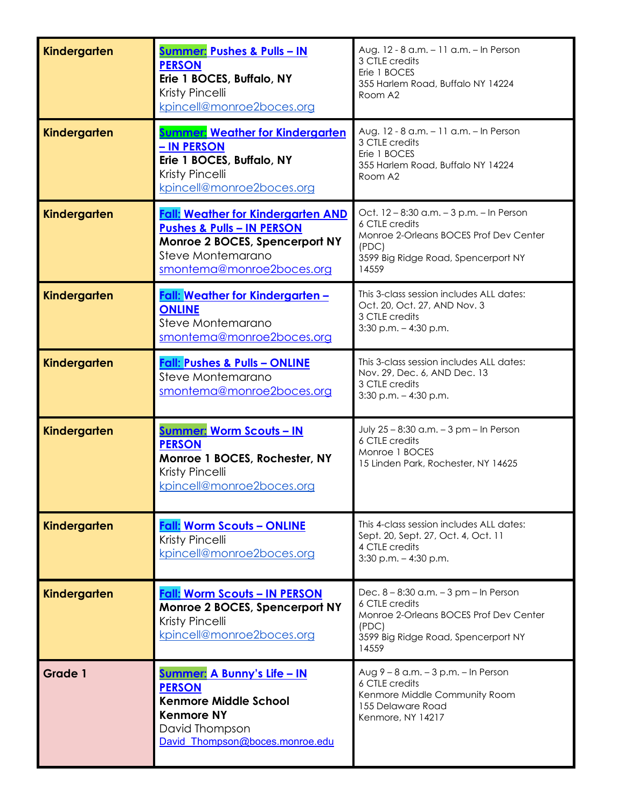| Kindergarten   | <u><b>Summer: Pushes &amp; Pulls - IN</b></u><br><b>PERSON</b><br>Erie 1 BOCES, Buffalo, NY<br>Kristy Pincelli<br>kpincell@monroe2boces.org                            | Aug. 12 - 8 a.m. - 11 a.m. - In Person<br>3 CTLE credits<br>Erie 1 BOCES<br>355 Harlem Road, Buffalo NY 14224<br>Room A2                                      |
|----------------|------------------------------------------------------------------------------------------------------------------------------------------------------------------------|---------------------------------------------------------------------------------------------------------------------------------------------------------------|
| Kindergarten   | <u>Summer: Weather for Kindergarten</u><br>– IN PERSON<br>Erie 1 BOCES, Buffalo, NY<br>Kristy Pincelli<br>kpincell@monroe2boces.org                                    | Aug. 12 - 8 a.m. - 11 a.m. - In Person<br>3 CTLE credits<br>Erie 1 BOCES<br>355 Harlem Road, Buffalo NY 14224<br>Room A2                                      |
| Kindergarten   | <b>Fall: Weather for Kindergarten AND</b><br><b>Pushes &amp; Pulls - IN PERSON</b><br>Monroe 2 BOCES, Spencerport NY<br>Steve Montemarano<br>smontema@monroe2boces.org | Oct. 12 - 8:30 a.m. - 3 p.m. - In Person<br>6 CTLE credits<br>Monroe 2-Orleans BOCES Prof Dev Center<br>(PDC)<br>3599 Big Ridge Road, Spencerport NY<br>14559 |
| Kindergarten   | Fall: Weather for Kindergarten -<br><b>ONLINE</b><br>Steve Montemarano<br>smontema@monroe2boces.org                                                                    | This 3-class session includes ALL dates:<br>Oct. 20, Oct. 27, AND Nov. 3<br>3 CTLE credits<br>$3:30$ p.m. $-4:30$ p.m.                                        |
| Kindergarten   | <b>Fall: Pushes &amp; Pulls - ONLINE</b><br>Steve Montemarano<br>smontema@monroe2boces.org                                                                             | This 3-class session includes ALL dates:<br>Nov. 29, Dec. 6, AND Dec. 13<br>3 CTLE credits<br>$3:30$ p.m. $-4:30$ p.m.                                        |
| Kindergarten   | <u><b>Summer: Worm Scouts - IN</b></u><br><b>PERSON</b><br>Monroe 1 BOCES, Rochester, NY<br>Kristy Pincelli<br>kpincell@monroe2boces.org                               | July 25 - 8:30 a.m. - 3 pm - In Person<br>6 CTLE credits<br>Monroe 1 BOCES<br>15 Linden Park, Rochester, NY 14625                                             |
| Kindergarten   | <b>Fall: Worm Scouts - ONLINE</b><br>Kristy Pincelli<br>kpincell@monroe2boces.org                                                                                      | This 4-class session includes ALL dates:<br>Sept. 20, Sept. 27, Oct. 4, Oct. 11<br>4 CTLE credits<br>$3:30$ p.m. $-4:30$ p.m.                                 |
| Kindergarten   | <b>Fall: Worm Scouts - IN PERSON</b><br>Monroe 2 BOCES, Spencerport NY<br>Kristy Pincelli<br>kpincell@monroe2boces.org                                                 | Dec. 8 - 8:30 a.m. - 3 pm - In Person<br>6 CTLE credits<br>Monroe 2-Orleans BOCES Prof Dev Center<br>(PDC)<br>3599 Big Ridge Road, Spencerport NY<br>14559    |
| <b>Grade 1</b> | <u><b>Summer: A Bunny's Life - IN</b></u><br><b>PERSON</b><br><b>Kenmore Middle School</b><br><b>Kenmore NY</b><br>David Thompson<br>David Thompson@boces.monroe.edu   | Aug 9 - 8 a.m. - 3 p.m. - In Person<br>6 CTLE credits<br>Kenmore Middle Community Room<br>155 Delaware Road<br>Kenmore, NY 14217                              |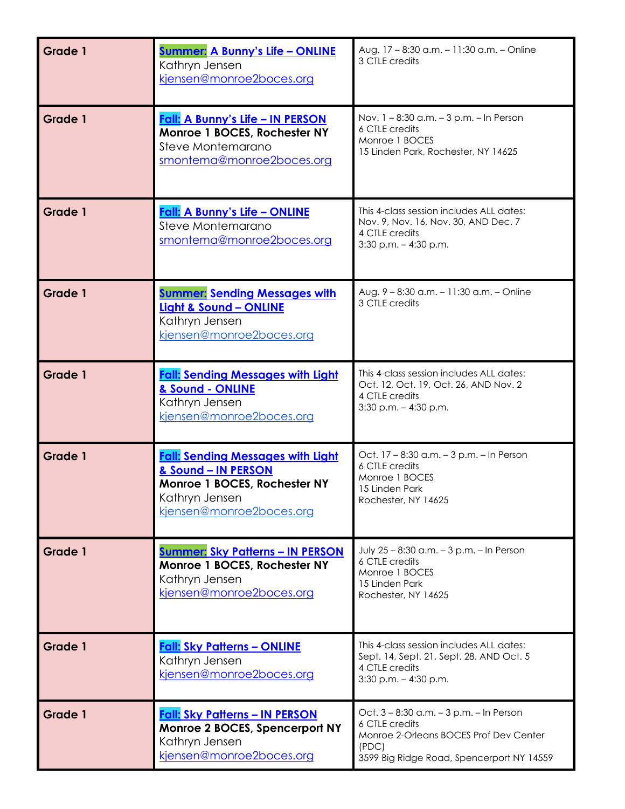| Grade 1        | <u><b>Summer: A Bunny's Life - ONLINE</b></u><br>Kathryn Jensen<br>kjensen@monroe2boces.org                                                   | Aug. 17 - 8:30 a.m. - 11:30 a.m. - Online<br>3 CTLE credits                                                                                               |
|----------------|-----------------------------------------------------------------------------------------------------------------------------------------------|-----------------------------------------------------------------------------------------------------------------------------------------------------------|
| Grade 1        | Fall: A Bunny's Life - IN PERSON<br>Monroe 1 BOCES, Rochester NY<br>Steve Montemarano<br>smontema@monroe2boces.org                            | Nov. 1 - 8:30 a.m. - 3 p.m. - In Person<br>6 CTLE credits<br>Monroe 1 BOCES<br>15 Linden Park, Rochester, NY 14625                                        |
| Grade 1        | <b>Fall: A Bunny's Life - ONLINE</b><br>Steve Montemarano<br>smontema@monroe2boces.org                                                        | This 4-class session includes ALL dates:<br>Nov. 9, Nov. 16, Nov. 30, AND Dec. 7<br>4 CTLE credits<br>$3:30$ p.m. $-4:30$ p.m.                            |
| Grade 1        | <b>Summer: Sending Messages with</b><br>Light & Sound - ONLINE<br>Kathryn Jensen<br>kjensen@monroe2boces.org                                  | Aug. 9 - 8:30 a.m. - 11:30 a.m. - Online<br>3 CTLE credits                                                                                                |
| <b>Grade 1</b> | <b>Fall: Sending Messages with Light</b><br>& Sound - ONLINE<br>Kathryn Jensen<br>kjensen@monroe2boces.org                                    | This 4-class session includes ALL dates:<br>Oct. 12, Oct. 19, Oct. 26, AND Nov. 2<br>4 CTLE credits<br>$3:30$ p.m. $-4:30$ p.m.                           |
| Grade 1        | <b>Fall: Sending Messages with Light</b><br>& Sound - IN PERSON<br>Monroe 1 BOCES, Rochester NY<br>Kathryn Jensen<br>kjensen@monroe2boces.org | Oct. 17 - 8:30 a.m. - 3 p.m. - In Person<br>6 CTLE credits<br>Monroe 1 BOCES<br>15 Linden Park<br>Rochester, NY 14625                                     |
| <b>Grade 1</b> | <u><b>Summer: Sky Patterns – IN PERSON</b></u><br>Monroe 1 BOCES, Rochester NY<br>Kathryn Jensen<br>kjensen@monroe2boces.org                  | July 25 - 8:30 a.m. - 3 p.m. - In Person<br>6 CTLE credits<br>Monroe 1 BOCES<br>15 Linden Park<br>Rochester, NY 14625                                     |
| <b>Grade 1</b> | <b>Fall: Sky Patterns - ONLINE</b><br>Kathryn Jensen<br>kjensen@monroe2boces.org                                                              | This 4-class session includes ALL dates:<br>Sept. 14, Sept. 21, Sept. 28. AND Oct. 5<br>4 CTLE credits<br>$3:30$ p.m. $-4:30$ p.m.                        |
| Grade 1        | <b>Fall: Sky Patterns - IN PERSON</b><br>Monroe 2 BOCES, Spencerport NY<br>Kathryn Jensen<br>kjensen@monroe2boces.org                         | Oct. 3 - 8:30 a.m. - 3 p.m. - In Person<br>6 CTLE credits<br>Monroe 2-Orleans BOCES Prof Dev Center<br>(PDC)<br>3599 Big Ridge Road, Spencerport NY 14559 |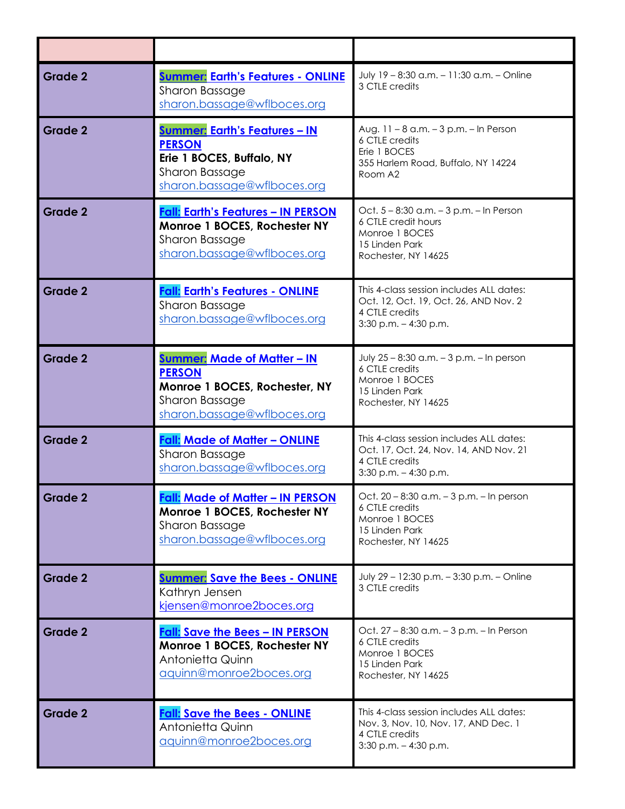| Grade 2        | <b>Summer: Earth's Features - ONLINE</b><br>Sharon Bassage<br>sharon.bassage@wflboces.org                                                  | July 19 - 8:30 a.m. - 11:30 a.m. - Online<br>3 CTLE credits                                                                      |
|----------------|--------------------------------------------------------------------------------------------------------------------------------------------|----------------------------------------------------------------------------------------------------------------------------------|
| Grade 2        | <u><b>Summer: Earth's Features - IN</b></u><br><b>PERSON</b><br>Erie 1 BOCES, Buffalo, NY<br>Sharon Bassage<br>sharon.bassage@wflboces.org | Aug. 11 - 8 a.m. - 3 p.m. - In Person<br>6 CTLE credits<br>Erie 1 BOCES<br>355 Harlem Road, Buffalo, NY 14224<br>Room A2         |
| Grade 2        | <b>Fall: Earth's Features - IN PERSON</b><br>Monroe 1 BOCES, Rochester NY<br>Sharon Bassage<br>sharon.bassage@wflboces.org                 | Oct. 5 - 8:30 a.m. - 3 p.m. - In Person<br>6 CTLE credit hours<br>Monroe 1 BOCES<br>15 Linden Park<br>Rochester, NY 14625        |
| Grade 2        | <b>Fall: Earth's Features - ONLINE</b><br>Sharon Bassage<br>sharon.bassage@wflboces.org                                                    | This 4-class session includes ALL dates:<br>Oct. 12, Oct. 19, Oct. 26, AND Nov. 2<br>4 CTLE credits<br>$3:30$ p.m. $-4:30$ p.m.  |
| Grade 2        | <b>Summer: Made of Matter - IN</b><br><b>PERSON</b><br>Monroe 1 BOCES, Rochester, NY<br>Sharon Bassage<br>sharon.bassage@wflboces.org      | July 25 - 8:30 a.m. - 3 p.m. - In person<br>6 CTLE credits<br>Monroe 1 BOCES<br>15 Linden Park<br>Rochester, NY 14625            |
| Grade 2        | <b>Fall: Made of Matter - ONLINE</b><br>Sharon Bassage<br>sharon.bassage@wflboces.org                                                      | This 4-class session includes ALL dates:<br>Oct. 17, Oct. 24, Nov. 14, AND Nov. 21<br>4 CTLE credits<br>$3:30$ p.m. $-4:30$ p.m. |
| <b>Grade 2</b> | <u> Fall: Made of Matter – IN PERSON</u><br>Monroe 1 BOCES, Rochester NY<br>Sharon Bassage<br>sharon.bassage@wflboces.org                  | Oct. 20 - 8:30 a.m. - 3 p.m. - In person<br>6 CTLE credits<br>Monroe 1 BOCES<br>15 Linden Park<br>Rochester, NY 14625            |
| Grade 2        | <b>Summer: Save the Bees - ONLINE</b><br>Kathryn Jensen<br>kjensen@monroe2boces.org                                                        | July 29 - 12:30 p.m. - 3:30 p.m. - Online<br>3 CTLE credits                                                                      |
| <b>Grade 2</b> | <b>Fall: Save the Bees - IN PERSON</b><br>Monroe 1 BOCES, Rochester NY<br>Antonietta Quinn<br>aquinn@monroe2boces.org                      | Oct. 27 - 8:30 a.m. - 3 p.m. - In Person<br>6 CTLE credits<br>Monroe 1 BOCES<br>15 Linden Park<br>Rochester, NY 14625            |
| <b>Grade 2</b> | <b>Fall: Save the Bees - ONLINE</b><br>Antonietta Quinn<br>aquinn@monroe2boces.org                                                         | This 4-class session includes ALL dates:<br>Nov. 3, Nov. 10, Nov. 17, AND Dec. 1<br>4 CTLE credits<br>$3:30$ p.m. $-4:30$ p.m.   |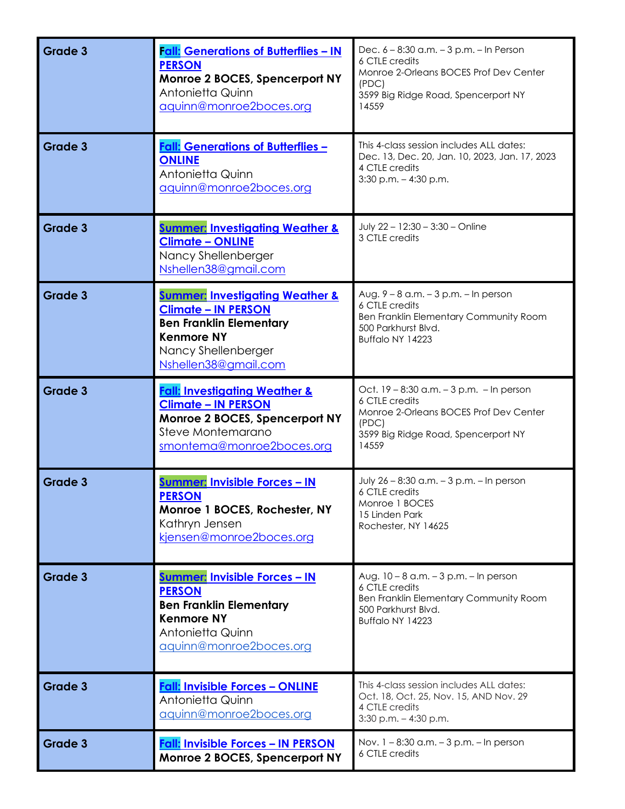| Grade 3        | Fall: Generations of Butterflies - IN<br><b>PERSON</b><br>Monroe 2 BOCES, Spencerport NY<br>Antonietta Quinn<br>aquinn@monroe2boces.org                                        | Dec. 6 - 8:30 a.m. - 3 p.m. - In Person<br>6 CTLE credits<br>Monroe 2-Orleans BOCES Prof Dev Center<br>(PDC)<br>3599 Big Ridge Road, Spencerport NY<br>14559  |
|----------------|--------------------------------------------------------------------------------------------------------------------------------------------------------------------------------|---------------------------------------------------------------------------------------------------------------------------------------------------------------|
| Grade 3        | <b>Fall: Generations of Butterflies -</b><br><b>ONLINE</b><br>Antonietta Quinn<br>aquinn@monroe2boces.org                                                                      | This 4-class session includes ALL dates:<br>Dec. 13, Dec. 20, Jan. 10, 2023, Jan. 17, 2023<br>4 CTLE credits<br>$3:30$ p.m. $-4:30$ p.m.                      |
| <b>Grade 3</b> | <b>Summer: Investigating Weather &amp;</b><br><b>Climate - ONLINE</b><br>Nancy Shellenberger<br>Nshellen38@gmail.com                                                           | July 22 - 12:30 - 3:30 - Online<br>3 CTLE credits                                                                                                             |
| Grade 3        | <b>Summer: Investigating Weather &amp;</b><br><b>Climate - IN PERSON</b><br><b>Ben Franklin Elementary</b><br><b>Kenmore NY</b><br>Nancy Shellenberger<br>Nshellen38@gmail.com | Aug. 9 - 8 a.m. - 3 p.m. - In person<br>6 CTLE credits<br>Ben Franklin Elementary Community Room<br>500 Parkhurst Blvd.<br>Buffalo NY 14223                   |
| Grade 3        | <b>Fall: Investigating Weather &amp;</b><br><b>Climate - IN PERSON</b><br>Monroe 2 BOCES, Spencerport NY<br>Steve Montemarano<br>smontema@monroe2boces.org                     | Oct. 19 - 8:30 a.m. - 3 p.m. - In person<br>6 CTLE credits<br>Monroe 2-Orleans BOCES Prof Dev Center<br>(PDC)<br>3599 Big Ridge Road, Spencerport NY<br>14559 |
| <b>Grade 3</b> | <b>Summer: Invisible Forces - IN</b><br><b>PERSON</b><br>Monroe 1 BOCES, Rochester, NY<br>Kathryn Jensen<br>kjensen@monroe2boces.org                                           | July 26 - 8:30 a.m. - 3 p.m. - In person<br>6 CTLE credits<br>Monroe 1 BOCES<br>15 Linden Park<br>Rochester, NY 14625                                         |
| <b>Grade 3</b> | <u> Summer: Invisible Forces - IN</u><br><b>PERSON</b><br><b>Ben Franklin Elementary</b><br><b>Kenmore NY</b><br>Antonietta Quinn<br>aquinn@monroe2boces.org                   | Aug. 10 - 8 a.m. - 3 p.m. - In person<br>6 CTLE credits<br>Ben Franklin Elementary Community Room<br>500 Parkhurst Blvd.<br>Buffalo NY 14223                  |
| Grade 3        | <b>Fall: Invisible Forces - ONLINE</b><br>Antonietta Quinn<br>aquinn@monroe2boces.org                                                                                          | This 4-class session includes ALL dates:<br>Oct. 18, Oct. 25, Nov. 15, AND Nov. 29<br>4 CTLE credits<br>$3:30$ p.m. $-4:30$ p.m.                              |
| <b>Grade 3</b> | <b>Fall: Invisible Forces - IN PERSON</b><br>Monroe 2 BOCES, Spencerport NY                                                                                                    | Nov. 1 - 8:30 a.m. - 3 p.m. - In person<br>6 CTLE credits                                                                                                     |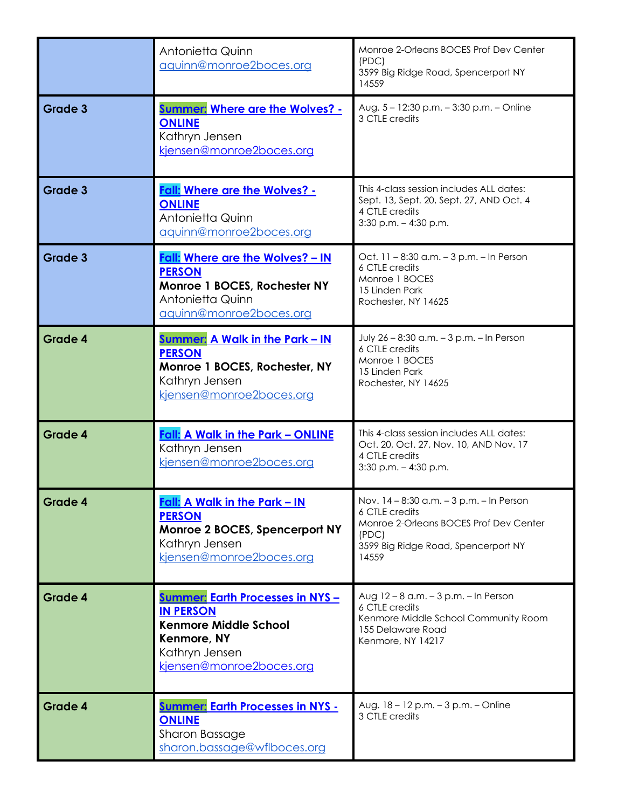|                | Antonietta Quinn<br>aquinn@monroe2boces.org                                                                                                              | Monroe 2-Orleans BOCES Prof Dev Center<br>(PDC)<br>3599 Big Ridge Road, Spencerport NY<br>14559                                                               |
|----------------|----------------------------------------------------------------------------------------------------------------------------------------------------------|---------------------------------------------------------------------------------------------------------------------------------------------------------------|
| Grade 3        | <b>Summer: Where are the Wolves? -</b><br><b>ONLINE</b><br>Kathryn Jensen<br>kjensen@monroe2boces.org                                                    | Aug. 5 - 12:30 p.m. - 3:30 p.m. - Online<br>3 CTLE credits                                                                                                    |
| <b>Grade 3</b> | <b>Fall: Where are the Wolves? -</b><br><b>ONLINE</b><br>Antonietta Quinn<br>aquinn@monroe2boces.org                                                     | This 4-class session includes ALL dates:<br>Sept. 13, Sept. 20, Sept. 27, AND Oct. 4<br>4 CTLE credits<br>$3:30$ p.m. $-4:30$ p.m.                            |
| Grade 3        | <b>Fall: Where are the Wolves? - IN</b><br><b>PERSON</b><br>Monroe 1 BOCES, Rochester NY<br>Antonietta Quinn<br>aquinn@monroe2boces.org                  | Oct. 11 - 8:30 a.m. - 3 p.m. - In Person<br>6 CTLE credits<br>Monroe 1 BOCES<br>15 Linden Park<br>Rochester, NY 14625                                         |
| Grade 4        | <u><b>Summer: A Walk in the Park - IN</b></u><br><b>PERSON</b><br>Monroe 1 BOCES, Rochester, NY<br>Kathryn Jensen<br>kjensen@monroe2boces.org            | July 26 - 8:30 a.m. - 3 p.m. - In Person<br>6 CTLE credits<br>Monroe 1 BOCES<br>15 Linden Park<br>Rochester, NY 14625                                         |
| Grade 4        | <b>Fall: A Walk in the Park - ONLINE</b><br>Kathryn Jensen<br>kjensen@monroe2boces.org                                                                   | This 4-class session includes ALL dates:<br>Oct. 20, Oct. 27, Nov. 10, AND Nov. 17<br>4 CTLE credits<br>$3:30$ p.m. $-4:30$ p.m.                              |
| <b>Grade 4</b> | Fall: A Walk in the Park - IN<br><b>PERSON</b><br>Monroe 2 BOCES, Spencerport NY<br>Kathryn Jensen<br>kjensen@monroe2boces.org                           | Nov. 14 - 8:30 a.m. - 3 p.m. - In Person<br>6 CTLE credits<br>Monroe 2-Orleans BOCES Prof Dev Center<br>(PDC)<br>3599 Big Ridge Road, Spencerport NY<br>14559 |
| <b>Grade 4</b> | <b>Summer: Earth Processes in NYS -</b><br><b>IN PERSON</b><br><b>Kenmore Middle School</b><br>Kenmore, NY<br>Kathryn Jensen<br>kjensen@monroe2boces.org | Aug 12 - 8 a.m. - 3 p.m. - In Person<br>6 CTLE credits<br>Kenmore Middle School Community Room<br>155 Delaware Road<br>Kenmore, NY 14217                      |
| <b>Grade 4</b> | <b>Summer: Earth Processes in NYS -</b><br><b>ONLINE</b><br>Sharon Bassage<br>sharon.bassage@wflboces.org                                                | Aug. 18 - 12 p.m. - 3 p.m. - Online<br>3 CTLE credits                                                                                                         |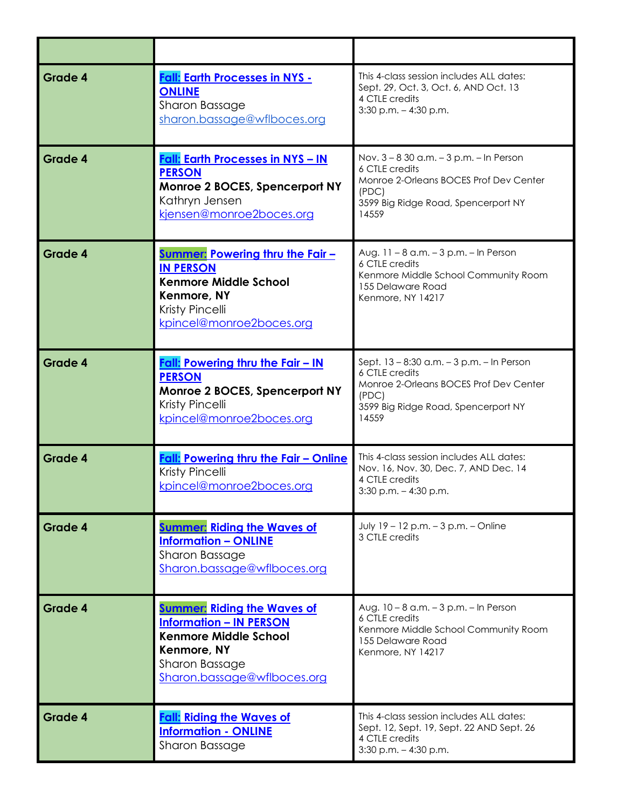| Grade 4        | <b>Fall: Earth Processes in NYS -</b><br><b>ONLINE</b><br>Sharon Bassage<br>sharon.bassage@wflboces.org                                                              | This 4-class session includes ALL dates:<br>Sept. 29, Oct. 3, Oct. 6, AND Oct. 13<br>4 CTLE credits<br>$3:30$ p.m. $-4:30$ p.m.                                |
|----------------|----------------------------------------------------------------------------------------------------------------------------------------------------------------------|----------------------------------------------------------------------------------------------------------------------------------------------------------------|
| <b>Grade 4</b> | <b>Fall: Earth Processes in NYS - IN</b><br><b>PERSON</b><br>Monroe 2 BOCES, Spencerport NY<br>Kathryn Jensen<br>kjensen@monroe2boces.org                            | Nov. 3 - 8 30 a.m. - 3 p.m. - In Person<br>6 CTLE credits<br>Monroe 2-Orleans BOCES Prof Dev Center<br>(PDC)<br>3599 Big Ridge Road, Spencerport NY<br>14559   |
| Grade 4        | <b>Summer: Powering thru the Fair -</b><br><b>IN PERSON</b><br><b>Kenmore Middle School</b><br>Kenmore, NY<br>Kristy Pincelli<br>kpincel@monroe2boces.org            | Aug. 11 - 8 a.m. - 3 p.m. - In Person<br>6 CTLE credits<br>Kenmore Middle School Community Room<br>155 Delaware Road<br>Kenmore, NY 14217                      |
| <b>Grade 4</b> | Fall: Powering thru the Fair - IN<br><b>PERSON</b><br>Monroe 2 BOCES, Spencerport NY<br>Kristy Pincelli<br>kpincel@monroe2boces.org                                  | Sept. 13 - 8:30 a.m. - 3 p.m. - In Person<br>6 CTLE credits<br>Monroe 2-Orleans BOCES Prof Dev Center<br>(PDC)<br>3599 Big Ridge Road, Spencerport NY<br>14559 |
| <b>Grade 4</b> | Fall: Powering thru the Fair - Online<br>Kristy Pincelli<br>kpincel@monroe2boces.org                                                                                 | This 4-class session includes ALL dates:<br>Nov. 16, Nov. 30, Dec. 7, AND Dec. 14<br>4 CTLE credits<br>3:30 p.m. - 4:30 p.m.                                   |
| <b>Grade 4</b> | <b>Summer: Riding the Waves of</b><br><b>Information - ONLINE</b><br>Sharon Bassage<br>Sharon.bassage@wflboces.org                                                   | July 19 - 12 p.m. - 3 p.m. - Online<br>3 CTLE credits                                                                                                          |
| Grade 4        | <b>Summer: Riding the Waves of</b><br><b>Information - IN PERSON</b><br><b>Kenmore Middle School</b><br>Kenmore, NY<br>Sharon Bassage<br>Sharon.bassage@wflboces.org | Aug. 10 - 8 a.m. - 3 p.m. - In Person<br>6 CTLE credits<br>Kenmore Middle School Community Room<br>155 Delaware Road<br>Kenmore, NY 14217                      |
| <b>Grade 4</b> | <b>Fall: Riding the Waves of</b><br><b>Information - ONLINE</b><br>Sharon Bassage                                                                                    | This 4-class session includes ALL dates:<br>Sept. 12, Sept. 19, Sept. 22 AND Sept. 26<br>4 CTLE credits<br>$3:30$ p.m. $-4:30$ p.m.                            |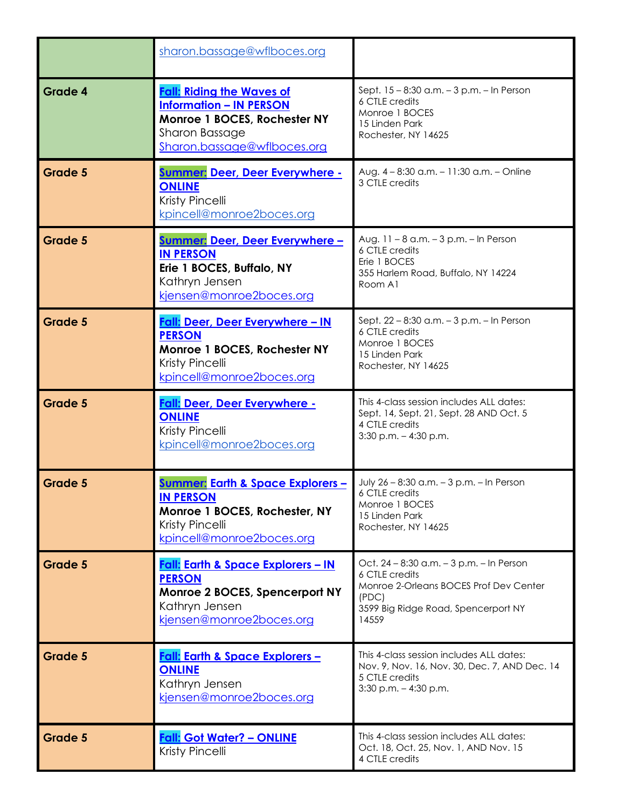|                | sharon.bassage@wflboces.org                                                                                                                              |                                                                                                                                                               |
|----------------|----------------------------------------------------------------------------------------------------------------------------------------------------------|---------------------------------------------------------------------------------------------------------------------------------------------------------------|
| <b>Grade 4</b> | <b>Fall: Riding the Waves of</b><br><b>Information - IN PERSON</b><br>Monroe 1 BOCES, Rochester NY<br>Sharon Bassage<br>Sharon.bassage@wflboces.org      | Sept. 15 - 8:30 a.m. - 3 p.m. - In Person<br>6 CTLE credits<br>Monroe 1 BOCES<br>15 Linden Park<br>Rochester, NY 14625                                        |
| Grade 5        | <b>Summer: Deer, Deer Everywhere -</b><br><b>ONLINE</b><br>Kristy Pincelli<br>kpincell@monroe2boces.org                                                  | Aug. 4 - 8:30 a.m. - 11:30 a.m. - Online<br>3 CTLE credits                                                                                                    |
| <b>Grade 5</b> | <b>Summer: Deer, Deer Everywhere -</b><br><b>IN PERSON</b><br>Erie 1 BOCES, Buffalo, NY<br>Kathryn Jensen<br>kjensen@monroe2boces.org                    | Aug. 11 - 8 a.m. - 3 p.m. - In Person<br>6 CTLE credits<br>Erie 1 BOCES<br>355 Harlem Road, Buffalo, NY 14224<br>Room A1                                      |
| Grade 5        | Fall: Deer, Deer Everywhere - IN<br><b>PERSON</b><br>Monroe 1 BOCES, Rochester NY<br>Kristy Pincelli<br>kpincell@monroe2boces.org                        | Sept. 22 - 8:30 a.m. - 3 p.m. - In Person<br>6 CTLE credits<br>Monroe 1 BOCES<br>15 Linden Park<br>Rochester, NY 14625                                        |
| Grade 5        | Fall: Deer, Deer Everywhere -<br><b>ONLINE</b><br>Kristy Pincelli<br>kpincell@monroe2boces.org                                                           | This 4-class session includes ALL dates:<br>Sept. 14, Sept. 21, Sept. 28 AND Oct. 5<br>4 CTLE credits<br>$3:30$ p.m. $-4:30$ p.m.                             |
| <b>Grade 5</b> | <u><b>Summer: Earth &amp; Space Explorers -</b></u><br><b>IN PERSON</b><br>Monroe 1 BOCES, Rochester, NY<br>Kristy Pincelli<br>kpincell@monroe2boces.org | July 26 - 8:30 a.m. - 3 p.m. - In Person<br>6 CTLE credits<br>Monroe 1 BOCES<br>15 Linden Park<br>Rochester, NY 14625                                         |
| <b>Grade 5</b> | <b>Fall: Earth &amp; Space Explorers - IN</b><br><b>PERSON</b><br>Monroe 2 BOCES, Spencerport NY<br>Kathryn Jensen<br>kjensen@monroe2boces.org           | Oct. 24 - 8:30 a.m. - 3 p.m. - In Person<br>6 CTLE credits<br>Monroe 2-Orleans BOCES Prof Dev Center<br>(PDC)<br>3599 Big Ridge Road, Spencerport NY<br>14559 |
| <b>Grade 5</b> | Fall: Earth & Space Explorers -<br><b>ONLINE</b><br>Kathryn Jensen<br>kjensen@monroe2boces.org                                                           | This 4-class session includes ALL dates:<br>Nov. 9, Nov. 16, Nov. 30, Dec. 7, AND Dec. 14<br>5 CTLE credits<br>$3:30$ p.m. $-4:30$ p.m.                       |
| Grade 5        | <u> Fall: Got Water? – ONLINE</u><br>Kristy Pincelli                                                                                                     | This 4-class session includes ALL dates:<br>Oct. 18, Oct. 25, Nov. 1, AND Nov. 15<br>4 CTLE credits                                                           |